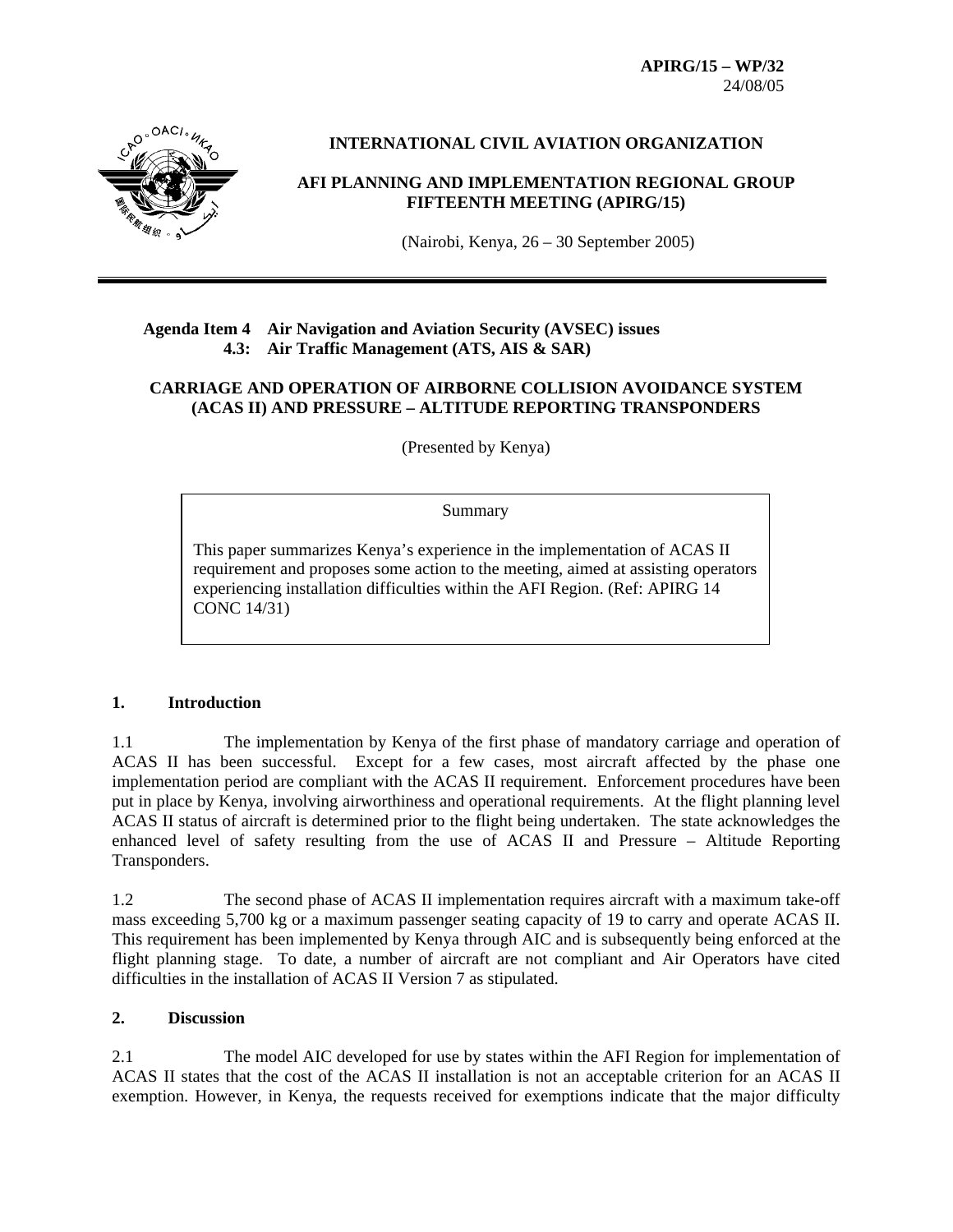**APIRG/15 – WP/32**  24/08/05



# **INTERNATIONAL CIVIL AVIATION ORGANIZATION**

# **AFI PLANNING AND IMPLEMENTATION REGIONAL GROUP FIFTEENTH MEETING (APIRG/15)**

(Nairobi, Kenya, 26 – 30 September 2005)

### **Agenda Item 4 Air Navigation and Aviation Security (AVSEC) issues 4.3: Air Traffic Management (ATS, AIS & SAR)**

# **CARRIAGE AND OPERATION OF AIRBORNE COLLISION AVOIDANCE SYSTEM (ACAS II) AND PRESSURE – ALTITUDE REPORTING TRANSPONDERS**

(Presented by Kenya)

#### Summary

This paper summarizes Kenya's experience in the implementation of ACAS II requirement and proposes some action to the meeting, aimed at assisting operators experiencing installation difficulties within the AFI Region. (Ref: APIRG 14 CONC 14/31)

#### **1. Introduction**

1.1 The implementation by Kenya of the first phase of mandatory carriage and operation of ACAS II has been successful. Except for a few cases, most aircraft affected by the phase one implementation period are compliant with the ACAS II requirement. Enforcement procedures have been put in place by Kenya, involving airworthiness and operational requirements. At the flight planning level ACAS II status of aircraft is determined prior to the flight being undertaken. The state acknowledges the enhanced level of safety resulting from the use of ACAS II and Pressure – Altitude Reporting Transponders.

1.2 The second phase of ACAS II implementation requires aircraft with a maximum take-off mass exceeding 5,700 kg or a maximum passenger seating capacity of 19 to carry and operate ACAS II. This requirement has been implemented by Kenya through AIC and is subsequently being enforced at the flight planning stage. To date, a number of aircraft are not compliant and Air Operators have cited difficulties in the installation of ACAS II Version 7 as stipulated.

#### **2. Discussion**

2.1 The model AIC developed for use by states within the AFI Region for implementation of ACAS II states that the cost of the ACAS II installation is not an acceptable criterion for an ACAS II exemption. However, in Kenya, the requests received for exemptions indicate that the major difficulty